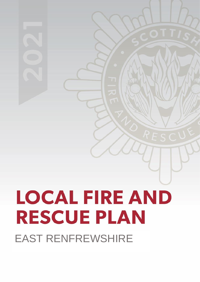# **LOCAL FIRE AND RESCUE PLAN** EAST RENFREWSHIRE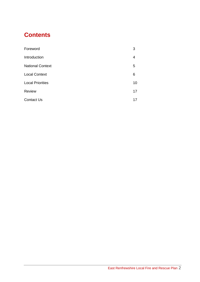## **Contents**

| Foreword                | 3  |
|-------------------------|----|
| Introduction            | 4  |
| <b>National Context</b> | 5  |
| <b>Local Context</b>    | 6  |
| <b>Local Priorities</b> | 10 |
| <b>Review</b>           | 17 |
| <b>Contact Us</b>       | 17 |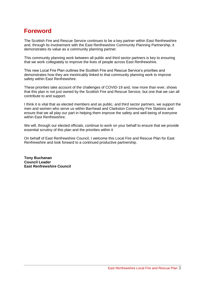## **Foreword**

The Scottish Fire and Rescue Service continues to be a key partner within East Renfrewshire and, through its involvement with the East Renfrewshire Community Planning Partnership, it demonstrates its value as a community planning partner.

This community planning work between all public and third sector partners is key to ensuring that we work collegiately to improve the lives of people across East Renfrewshire.

This new Local Fire Plan outlines the Scottish Fire and Rescue Service's priorities and demonstrates how they are inextricably linked to that community planning work to improve safety within East Renfrewshire.

These priorities take account of the challenges of COVID-19 and, now more than ever, shows that this plan is not just owned by the Scottish Fire and Rescue Service, but one that we can all contribute to and support.

I think it is vital that as elected members and as public, and third sector partners, we support the men and women who serve us within Barrhead and Clarkston Community Fire Stations and ensure that we all play our part in helping them improve the safety and well-being of everyone within East Renfrewshire.

We will, through our elected officials, continue to work on your behalf to ensure that we provide essential scrutiny of this plan and the priorities within it

On behalf of East Renfrewshire Council, I welcome this Local Fire and Rescue Plan for East Renfrewshire and look forward to a continued productive partnership.

**Tony Buchanan Council Leader East Renfrewshire Council**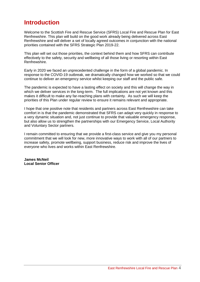## **Introduction**

Welcome to the Scottish Fire and Rescue Service (SFRS) Local Fire and Rescue Plan for East Renfrewshire. This plan will build on the good work already being delivered across East Renfrewshire and will deliver a set of locally agreed outcomes in conjunction with the national priorities contained with the SFRS Strategic Plan 2019-22.

This plan will set out those priorities, the context behind them and how SFRS can contribute effectively to the safety, security and wellbeing of all those living or resorting within East Renfrewshire.

Early in 2020 we faced an unprecedented challenge in the form of a global pandemic. In response to the COVID-19 outbreak, we dramatically changed how we worked so that we could continue to deliver an emergency service whilst keeping our staff and the public safe.

The pandemic is expected to have a lasting effect on society and this will change the way in which we deliver services in the long-term. The full implications are not yet known and this makes it difficult to make any far-reaching plans with certainty. As such we will keep the priorities of this Plan under regular review to ensure it remains relevant and appropriate.

I hope that one positive note that residents and partners across East Renfrewshire can take comfort in is that the pandemic demonstrated that SFRS can adapt very quickly in response to a very dynamic situation and, not just continue to provide that valuable emergency response, but also allow us to strengthen the partnerships with our Emergency Service, Local Authority and Voluntary Sector partners.

I remain committed to ensuring that we provide a first-class service and give you my personal commitment that we will look for new, more innovative ways to work with all of our partners to increase safety, promote wellbeing, support business, reduce risk and improve the lives of everyone who lives and works within East Renfrewshire.

**James McNeil Local Senior Officer**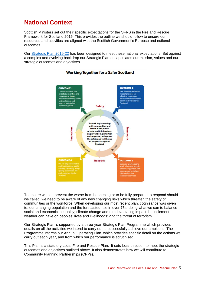## **National Context**

Scottish Ministers set out their specific expectations for the SFRS in the Fire and Rescue Framework for Scotland 2016. This provides the outline we should follow to ensure our resources and activities are aligned with the Scottish Government's Purpose and national outcomes.

Our [Strategic Plan 2019-22](https://www.firescotland.gov.uk/media/1476819/SFRS_Strategic_Plan_2019_22_V1.0.pdf) has been designed to meet these national expectations. Set against a complex and evolving backdrop our Strategic Plan encapsulates our mission, values and our strategic outcomes and objectives.



#### **Working Together for a Safer Scotland**

To ensure we can prevent the worse from happening or to be fully prepared to respond should we called, we need to be aware of any new changing risks which threaten the safety of communities or the workforce. When developing our most recent plan, cognisance was given to: our changing population and the forecasted rise in over 75s; doing what we can to balance social and economic inequality; climate change and the devastating impact the inclement weather can have on peoples' lives and livelihoods; and the threat of terrorism.

Our Strategic Plan is supported by a three-year Strategic Plan Programme which provides details on all the activities we intend to carry out to successfully achieve our ambitions. The Programme informs our Annual Operating Plan, which provides specific detail on the actions we carry out each year, and from which our performance is scrutinised.

This Plan is a statutory Local Fire and Rescue Plan. It sets local direction to meet the strategic outcomes and objectives outlined above. It also demonstrates how we will contribute to Community Planning Partnerships (CPPs).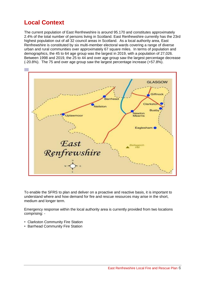## **Local Context**

The current population of East Renfrewshire is around 95.170 and constitutes approximately 2.4% of the total number of persons living in Scotland. East Renfrewshire currently has the 23rd highest population out of all 32 council areas in Scotland. As a local authority area, East Renfrewshire is constituted by six multi-member electoral wards covering a range of diverse urban and rural communities over approximately 67 square miles. In terms of population and demographics, the 45 to 64 age group was the largest in 2019, with a population of 27,026. Between 1998 and 2019, the 25 to 44 and over age group saw the largest percentage decrease (-20.8%). The 75 and over age group saw the largest percentage increase (+57.8%).



To enable the SFRS to plan and deliver on a proactive and reactive basis, it is important to understand where and how demand for fire and rescue resources may arise in the short, medium and longer term.

Emergency response within the local authority area is currently provided from two locations comprising: -

- Clarkston Community Fire Station
- Barrhead Community Fire Station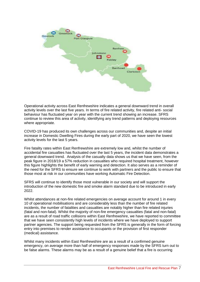

Operational activity across East Renfrewshire indicates a general downward trend in overall activity levels over the last five years. In terms of fire related activity, fire related anti- social behaviour has fluctuated year on year with the current trend showing an increase. SFRS continue to review this area of activity, identifying any trend patterns and deploying resources where appropriate.

COVID-19 has produced its own challenges across our communities and, despite an initial increase in Domestic Dwelling Fires during the early part of 2020, we have seen the lowest activity levels for the last 5 years.

Fire fatality rates within East Renfrewshire are extremely low and, whilst the number of accidental fire casualties has fluctuated over the last 5 years, the incident data demonstrates a general downward trend. Analysis of the casualty data shows us that we have seen, from the peak figure in 2018/19 a 57% reduction in casualties who required hospital treatment, however this figure highlights the benefit of early warning and detection. It also serves as a reminder of the need for the SFRS to ensure we continue to work with partners and the public to ensure that those most at risk in our communities have working Automatic Fire Detection.

SFRS will continue to identify those most vulnerable in our society and will support the introduction of the new domestic fire and smoke alarm standard due to be introduced in early 2022.

Whilst attendances at non-fire related emergencies on average account for around 1 in every 10 of operational mobilisations and are considerably less than the number of fire related incidents, the number of fatalities and casualties are notably higher than fire related injuries (fatal and non-fatal). Whilst the majority of non-fire emergency casualties (fatal and non-fatal) are as a result of road traffic collisions within East Renfrewshire, we have reported to committee that we have seen consistently high levels of incidents where we have deployed to support partner agencies. The support being requested from the SFRS is generally in the form of forcing entry into premises to render assistance to occupants or the provision of first responder (medical) assistance.

Whilst many incidents within East Renfrewshire are as a result of a confirmed genuine emergency, on average more than half of emergency responses made by the SFRS turn out to be false alarms. These alarms may be as a result of a genuine belief that a fire is occurring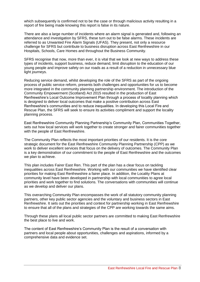which subsequently is confirmed not to be the case or through malicious activity resulting in a report of fire being made knowing this report is false in its nature.

There are also a large number of incidents where an alarm signal is generated and, following an attendance and investigation by SFRS, these turn out to be false alarms. These incidents are referred to as Unwanted Fire Alarm Signals (UFAS). They present, not only a resource challenge for SFRS but contribute to business disruption across East Renfrewshire in our Hospitals, Schools, Care Homes and throughout the Business Community.

SFRS recognise that now, more than ever, it is vital that we look at new ways to address these types of incidents, support business, reduce demand, limit disruption to the education of our young people and improve safety on our roads as a result of a reduction in unnecessary blue light journeys.

Reducing service demand, whilst developing the role of the SFRS as part of the ongoing process of public service reform, presents both challenges and opportunities for us to become more integrated in the community planning partnership environment. The introduction of the Community Empowerment (Scotland) Act 2015 resulted in the production of East Renfrewshire's Local Outcome Improvement Plan through a process of locality planning which is designed to deliver local outcomes that make a positive contribution across East Renfrewshire's communities and to reduce inequalities. In developing this Local Fire and Rescue Plan, the SFRS will seek to ensure its activities compliment and support the locality planning process.

East Renfrewshire Community Planning Partnership's Community Plan, Communities Together, sets out how local services will work together to create stronger and fairer communities together with the people of East Renfrewshire.

The Community Plan reflects the most important priorities of our residents. It is the core strategic document for the East Renfrewshire Community Planning Partnership (CPP) as we work to deliver excellent services that focus on the delivery of outcomes. The Community Plan is a key demonstration of our commitment to the people of East Renfrewshire and the outcomes we plan to achieve.

This plan includes Fairer East Ren. This part of the plan has a clear focus on tackling inequalities across East Renfrewshire. Working with our communities we have identified clear priorities for making East Renfrewshire a fairer place. In addition, the Locality Plans at community level have been developed in partnership with local communities to agree local priorities and work together to find solutions. The conversations with communities will continue as we develop and deliver our plans.

This overarching Community Plan encompasses the work of all statutory community planning partners, other key public sector agencies and the voluntary and business sectors in East Renfrewshire. It sets out the priorities and context for partnership working in East Renfrewshire to ensure that all of the plans and strategies of the CPP are working towards the same aims.

Through these plans all local public sector partners are committed to making East Renfrewshire the best place to live and work.

The content of East Renfrewshire's Community Plan is the result of a conversation with partners and local people about opportunities, challenges and aspirations, informed by a comprehensive data and evidence set.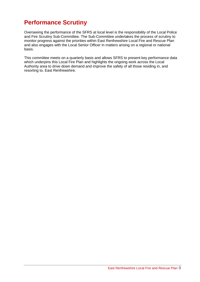## **Performance Scrutiny**

Overseeing the performance of the SFRS at local level is the responsibility of the Local Police and Fire Scrutiny Sub-Committee. The Sub-Committee undertakes the process of scrutiny to monitor progress against the priorities within East Renfrewshire Local Fire and Rescue Plan and also engages with the Local Senior Officer in matters arising on a regional or national basis.

This committee meets on a quarterly basis and allows SFRS to present key performance data which underpins this Local Fire Plan and highlights the ongoing work across the Local Authority area to drive down demand and improve the safety of all those residing in, and resorting to, East Renfrewshire.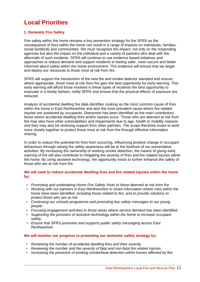## **Local Priorities**

#### **1. Domestic Fire Safety**

Fire safety within the home remains a key prevention strategy for the SFRS as the consequence of fires within the home can result in a range of impacts on individuals, families, social landlords and communities. We must recognise the impact, not only on the responding agencies but also the impact on the individual and a variety of partners who deal with the aftermath of such incidents. SFRS will continue to use evidence based initiatives and approaches to reduce demand and support residents in feeling safer, more secure and better informed about safety within the home environment. This evidence will ensure that we target and deploy our resources to those most at risk from fire.

SFRS will support the introduction of the new fire and smoke detector standard and ensure, where appropriate, those most at risk from fire gain the best opportunity for early warning. This early warning will afford those involved in these types of incidents the best opportunity to evacuate in a timely fashion, notify SFRS and ensure that the physical effects of exposure are reduced.

Analysis of accidental dwelling fire data identifies cooking as the most common cause of fires within the home in East Renfrewshire and also the most prevalent cause where fire related injuries are sustained by occupants. Distraction has been identified as the main contributory factor where accidental dwelling fires and/or injuries occur. Those who are deemed at risk from fire may also have other vulnerabilities and impairments due to age, health or mobility reasons and they may also be receiving support from other partners. The scope therefore exists to work more closely together to protect those most at risk from fire through effective information sharing.

In order to reduce the potential for fires from occurring, influencing positive change in occupant behaviours through raising fire safety awareness will be at the forefront of our preventative activities. By increasing the ownership of working smoke detection, the means of giving early warning of fire will also contribute to mitigating the severity of fires and fire related injuries within the home. By using assistive technology, the opportunity exists to further enhance the safety of those who are at risk from fire.

#### **We will seek to reduce accidental dwelling fires and fire related injuries within the home by:**

- *Promoting and undertaking Home Fire Safety Visits to those deemed at risk from fire*
- *Working with our partners in East Renfrewshire to share information where risks within the home have been identified, including those related to fire, and to provide solutions to protect those who are at risk.*
- *Continuing our schools programme and promoting key safety messages to our young people.*
- *Focusing engagement activities in those areas where service demand has been identified*
- *Supporting the provision of assistive technology within the home to increase occupant safety.*
- *Ensure that SFRS promotes and supports public safety messaging across East Renfrewshire*

#### **We will monitor our progress in promoting our domestic safety strategy by:**

- *Reviewing the number of accidental dwelling fires and their severity*
- *Reviewing the number and the severity of fatal and non-fatal fire related injuries*
- *Increasing the presence of working smoke/heat detection within homes affected by fire.*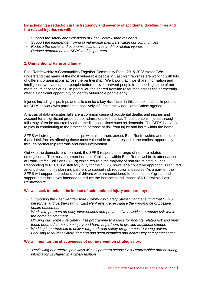#### **By achieving a reduction in the frequency and severity of accidental dwelling fires and fire related injuries we will:**

- *Support the safety and well-being of East Renfrewshire residents*
- *Support the independent living of vulnerable members within our communities*
- *Reduce the social and economic cost of fires and fire related injuries*
- *Reduce demand on the SFRS and its partners.*

#### **2. Unintentional Harm and Injury**

East Renfrewshire's Communities Together Community Plan 2018-2028 states "We understand that many of the most vulnerable people in East Renfrewshire are working with lots of different organisations across the partnership. We know that if we share information and intelligence we can support people better, or even prevent people from needing some of our more acute services at all. In particular, the shared frontline resources across the partnership offer a significant opportunity to identify vulnerable people early.

Injuries including slips, trips and falls can be a key risk factor in this context and it's important for SFRS to work with partners to positively influence the wider Home Safety agenda.

Analysis of data indicates falls are a common cause of accidental deaths and injuries and account for a significant proportion of admissions to hospital. Those persons injured through falls may often be affected by other medical conditions such as dementia. The SFRS has a role to play in contributing to the protection of those at risk from injury and harm within the home.

SFRS will strengthen its relationships with all partners across East Renfrewshire and ensure that all risk factors affecting those most vulnerable are addressed at the earliest opportunity through partnership referrals and early intervention.

Out with the domestic environment, the SFRS respond to a range of non-fire related emergencies. The most common incident of this type within East Renfrewshire is attendances at Road Traffic Collisions (RTCs) which result in the majority of non-fire related injuries. Responding to RTCs is a statutory duty for the SFRS, however a collective approach is required amongst community planning partners to support risk reduction measures. As a partner, the SFRS will support the education of drivers who are considered to be an 'at risk' group and support other initiatives intended to reduce the instances and impact of RTCs within East Renfrewshire.

#### **We will seek to reduce the impact of unintentional injury and harm by:**

- *Supporting the East Renfrewshire Community Safety Strategy and ensuring that SFRS personnel and partners within East Renfrewshire recognise the importance of positive health outcomes.*
- *Work with partners on early interventions and preventative activities to reduce risk within the home environment.*
- *Utilising our Home Fire Safety Visit programme to assess for non-fire related risk and refer those deemed at risk from injury and harm to partners to provide additional support*
- *Working in partnership to deliver targeted road safety programmes to young drivers*
- *Focusing resources where demand has been identified and deliver key safety messages.*

#### **We will monitor the effectiveness of our intervention strategies by:**

• *Reviewing our referral pathways with all partners across East Renfrewshire and ensuring information is shared in a timely fashion*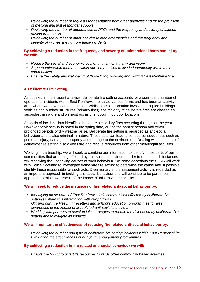- *Reviewing the number of requests for assistance from other agencies and for the provision of medical and first responder support*
- *Reviewing the number of attendances at RTCs and the frequency and severity of injuries arising from RTCs*
- *Reviewing the number of other non-fire related emergencies and the frequency and severity of injuries arising from these incidents.*

#### **By achieving a reduction in the frequency and severity of unintentional harm and injury we will:**

- *Reduce the social and economic cost of unintentional harm and injury*
- *Support vulnerable members within our communities to live independently within their communities*
- *Ensure the safety and well-being of those living, working and visiting East Renfrewshire.*

#### **3. Deliberate Fire Setting**

As outlined in the incident analysis, deliberate fire setting accounts for a significant number of operational incidents within East Renfrewshire, takes various forms and has been an activity area where we have seen an increase. Whilst a small proportion involves occupied buildings, vehicles and outdoor structures (primary fires), the majority of deliberate fires are classed as secondary in nature and on most occasions, occur in outdoor locations.

Analysis of incident data identifies deliberate secondary fires occurring throughout the year. However peak activity is noted in the spring time, during the bonfire season and when prolonged periods of dry weather arise. Deliberate fire setting is regarded as anti-social behaviour and is also criminal in nature. These acts can lead to serious consequences such as personal injury, damage to property and damage to the environment. Dealing with instances of deliberate fire setting also diverts fire and rescue resources from other meaningful activities.

Working in partnership, we will seek to combine our information to identify those parts of our communities that are being affected by anti-social behaviour in order to reduce such instances whilst tacking the underlying causes of such behaviour. On some occasions the SFRS will work with Police Scotland to investigate deliberate fire setting to determine the cause and, if possible, identify those responsible for such acts. Diversionary and engagement activity is regarded as an important approach in tackling anti-social behaviour and will continue to be part of our approach to raise awareness of the impact of this unwanted activity.

#### **We will seek to reduce the instances of fire related anti-social behaviour by:**

- *Identifying those parts of East Renfrewshire's communities affected by deliberate fire setting to share this information with our partners*
- *Utilising our Fire Reach, Firesetters and school's education programmes to raise awareness of the impact of fire related anti-social behaviour*
- *Working with partners to develop joint strategies to reduce the risk posed by deliberate fire setting and to mitigate its impacts.*

#### **We will monitor the effectiveness of reducing fire related anti-social behaviour by:**

- *Reviewing the number and type of deliberate fire setting incidents within East Renfrewshire*
- *Evaluating the effectiveness of our youth engagement programmes.*

#### **By achieving a reduction in fire related anti-social behaviour we will:**

• *Enable the SFRS to divert its resources towards other community based activities*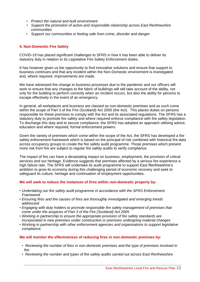- *Protect the natural and built environment*
- *Support the promotion of active and responsible citizenship across East Renfrewshire communities*
- *Support our communities in feeling safe from crime, disorder and danger.*

#### **4. Non-Domestic Fire Safety**

COVID-19 has placed significant challenges to SFRS in how it has been able to deliver its statutory duty in relation to its Legislative Fire Safety Enforcement duties.

It has however given us the opportunity to find innovative solutions and ensure that support to business continues and that any incident within the Non-Domestic environment is investigated and, where required, improvements are made.

We have witnessed the change to business processes due to the pandemic and our officers will work to ensure that any changes to the fabric of buildings will still take account of the ability, not only for the building to perform correctly when an incident occurs, but also the ability for persons to escape effectively in the event of an emergency.

In general, all workplaces and business are classed as non-domestic premises and as such come within the scope of Part 3 of the Fire (Scotland) Act 2005 (the Act). This places duties on persons responsible for these premises to comply with the Act and its associated regulations. The SFRS has a statutory duty to promote fire safety and where required enforce compliance with fire safety legislation. To discharge this duty and to secure compliance, the SFRS has adopted an approach utilising advice, education and where required, formal enforcement powers.

Given the variety of premises which come within the scope of the Act, the SFRS has developed a fire safety enforcement framework which is based on the principal of risk combined with historical fire data across occupancy groups to create the fire safety audit programme. Those premises which present more risk from fire are subject to regular fire safety audits to verify compliance.

The impact of fire can have a devastating impact on business, employment, the provision of critical services and our heritage. Evidence suggests that premises affected by a serious fire experience a high failure rate. The SFRS will undertake its audit programme to support East Renfrewshire's ambition to grow its economy during this challenging period of economic recovery and seek to safeguard its culture, heritage and continuation of employment opportunities.

#### **We will seek to reduce the instances of fires within non-domestic property by:**

- *Undertaking our fire safety audit programme in accordance with the SFRS Enforcement Framework*
- *Ensuring fires and the causes of fires are thoroughly investigated and emerging trends addressed*
- *Engaging with duty holders to promote responsible fire safety management of premises that come under the auspices of Part 3 of the Fire (Scotland) Act 2005*
- *Working in partnership to ensure the appropriate provision of fire safety standards are incorporated in new premises under construction or premises undergoing material changes*
- *Working in partnership with other enforcement agencies and organisations to support legislative compliance.*

#### **We will monitor the effectiveness of reducing fires in non-domestic premises by:**

- *Reviewing the number of fires in non-domestic premises and the type of premises involved in fire*
- *Reviewing the number and types of fire safety audits carried out across East Renfrewshire*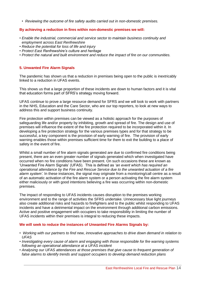• *Reviewing the outcome of fire safety audits carried out in non-domestic premises.*

#### **By achieving a reduction in fires within non-domestic premises we will:**

- *Enable the industrial, commercial and service sector to maintain business continuity and employment across East Renfrewshire*
- *Reduce the potential for loss of life and injury*
- *Protect East Renfrewshire's culture and heritage*
- *Protect the natural and built environment and reduce the impact of fire on our communities.*

#### **5. Unwanted Fire Alarm Signals**

The pandemic has shown us that a reduction in premises being open to the public is inextricably linked to a reduction in UFAS events.

This shows us that a large proportion of these incidents are down to human factors and it is vital that education forms part of SFRS's strategy moving forward.

UFAS continue to prove a large resource demand for SFRS and we will look to work with partners in the NHS, Education and the Care Sector, who are our top reporters, to look at new ways to address this and support business continuity.

Fire protection within premises can be viewed as a holistic approach for the purposes of safeguarding life and/or property by inhibiting, growth and spread of fire. The design and use of premises will influence the extent of the fire protection required to be incorporated within it. In developing a fire protection strategy for the various premises types and for that strategy to be successful, a key component is the provision of early warning of fire. The provision of early warning enables those within premises sufficient time for them to exit the building to a place of safety in the event of fire.

Whilst a small number of fire alarm signals generated are due to confirmed fire conditions being present, there are an even greater number of signals generated which when investigated have occurred when no fire conditions have been present. On such occasions these are known as 'Unwanted Fire Alarm Signals' (UFAS). This is defined as *'an event which has required an operational attendance by the Fire and Rescue Service due to the unwanted actuation of a fire alarm system'*. In these instances, the signal may originate from a monitoring/call centre as a result of an automatic activation of the fire alarm system or a person activating the fire alarm system either maliciously or with good intentions believing a fire was occurring within non-domestic premises.

The impact of responding to UFAS incidents causes disruption to the premises working environment and to the range of activities the SFRS undertake. Unnecessary blue light journeys also create additional risks and hazards to firefighters and to the public whilst responding to UFAS incidents and have a detrimental impact on the environment through additional carbon emissions. Active and positive engagement with occupiers to take responsibility in limiting the number of UFAS incidents within their premises is integral to reducing these impacts.

#### **We will seek to reduce the instances of Unwanted Fire Alarms Signals by:**

- *Working with our partners to find new, innovative approaches to drive down demand in relation to UFAS*
- *Investigating every cause of alarm and engaging with those responsible for fire warning systems following an operational attendance at a UFAS incident*
- *Analysing our UFAS attendances at those premises that give cause to frequent generation of false alarms to identify trends and support occupiers to develop demand reduction plans*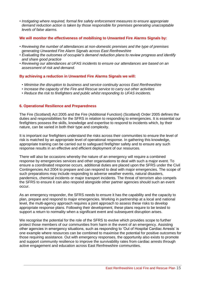• *Instigating where required, formal fire safety enforcement measures to ensure appropriate demand reduction action is taken by those responsible for premises generating unacceptable levels of false alarms.*

#### **We will monitor the effectiveness of mobilising to Unwanted Fire Alarms Signals by:**

- *Reviewing the number of attendances at non-domestic premises and the type of premises generating Unwanted Fire Alarm Signals across East Renfrewshire*
- *Evaluating the outcomes of occupier's demand reduction plans to review progress and identify and share good practice*
- *Reviewing our attendances at UFAS incidents to ensure our attendances are based on an assessment of risk and demand.*

#### **By achieving a reduction in Unwanted Fire Alarms Signals we will:**

- *Minimise the disruption to business and service continuity across East Renfrewshire*
- *Increase the capacity of the Fire and Rescue service to carry out other activities*
- *Reduce the risk to firefighters and public whilst responding to UFAS incidents.*

#### **6. Operational Resilience and Preparedness**

The Fire (Scotland) Act 2005 and the Fire (Additional Function) (Scotland) Order 2005 defines the duties and responsibilities for the SFRS in relation to responding to emergencies. It is essential our firefighters possess the skills, knowledge and expertise to respond to incidents which, by their nature, can be varied in both their type and complexity.

It is important our firefighters understand the risks across their communities to ensure the level of risk is matched by an appropriate level of operational response. In gathering this knowledge, appropriate training can be carried out to safeguard firefighter safety and to ensure any such response results in an effective and efficient deployment of our resources.

There will also be occasions whereby the nature of an emergency will require a combined response by emergencies services and other organisations to deal with such a major event. To ensure a coordinated response occurs, additional duties are placed upon the SFRS under the Civil Contingencies Act 2004 to prepare and can respond to deal with major emergencies. The scope of such preparations may include responding to adverse weather events, natural disasters, pandemics, chemical incidents or major transport incidents. The threat of terrorism also compels the SFRS to ensure it can also respond alongside other partner agencies should such an event occur.

As an emergency responder, the SFRS needs to ensure it has the capability and the capacity to plan, prepare and respond to major emergencies. Working in partnership at a local and national level, the multi-agency approach requires a joint approach to assess these risks to develop appropriate response plans. Following their development, these plans require to be tested to support a return to normality when a significant event and subsequent disruption arises.

We recognise the potential for the role of the SFRS to evolve which provides scope to further protect those members of our communities from harm in the event of an emergency. Assisting other agencies in emergency situations, such as responding to 'Out of Hospital Cardiac Arrests' is one example where resources can be combined to maximise the potential for positive outcomes for those requiring assistance. Out with emergency responses, the opportunity also exists to promote and support community resilience to improve the survivability rates from cardiac arrests through active engagement and education across East Renfrewshire communities.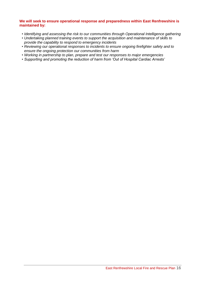#### **We will seek to ensure operational response and preparedness within East Renfrewshire is maintained by:**

- *Identifying and assessing the risk to our communities through Operational Intelligence gathering*
- *Undertaking planned training events to support the acquisition and maintenance of skills to provide the capability to respond to emergency incidents*
- *Reviewing our operational responses to incidents to ensure ongoing firefighter safety and to ensure the ongoing protection our communities from harm*
- *Working in partnership to plan, prepare and test our responses to major emergencies*
- *Supporting and promoting the reduction of harm from 'Out of Hospital Cardiac Arrests'*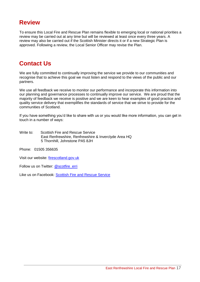### **Review**

To ensure this Local Fire and Rescue Plan remains flexible to emerging local or national priorities a review may be carried out at any time but will be reviewed at least once every three years. A review may also be carried out if the Scottish Minister directs it or if a new Strategic Plan is approved. Following a review, the Local Senior Officer may revise the Plan.

## **Contact Us**

We are fully committed to continually improving the service we provide to our communities and recognise that to achieve this goal we must listen and respond to the views of the public and our partners.

We use all feedback we receive to monitor our performance and incorporate this information into our planning and governance processes to continually improve our service. We are proud that the majority of feedback we receive is positive and we are keen to hear examples of good practice and quality service delivery that exemplifies the standards of service that we strive to provide for the communities of Scotland.

If you have something you'd like to share with us or you would like more information, you can get in touch in a number of ways:

Write to: Scottish Fire and Rescue Service East Renfrewshire, Renfrewshire & Inverclyde Area HQ 5 Thornhill, Johnstone PA5 8JH

Phone: 01505 356635

Visit our website: firescotland.gov.uk

Follow us on Twitter: @scotfire\_erri

Like us on Facebook: Scottish Fire and Rescue Service